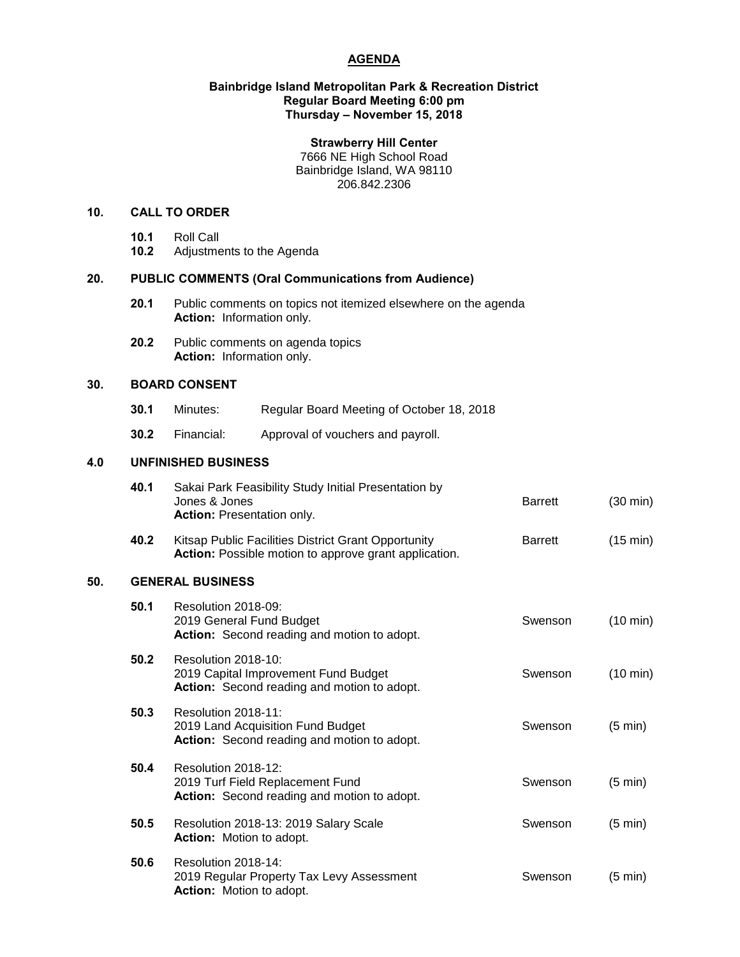# **AGENDA**

#### **Bainbridge Island Metropolitan Park & Recreation District Regular Board Meeting 6:00 pm Thursday – November 15, 2018**

## **Strawberry Hill Center**

7666 NE High School Road Bainbridge Island, WA 98110 206.842.2306

## **10. CALL TO ORDER**

- **10.1** Roll Call
- **10.2** Adjustments to the Agenda

### **20. PUBLIC COMMENTS (Oral Communications from Audience)**

- **20.1** Public comments on topics not itemized elsewhere on the agenda **Action:** Information only.
- **20.2** Public comments on agenda topics **Action:** Information only.

# **30. BOARD CONSENT**

- **30.1** Minutes: Regular Board Meeting of October 18, 2018
- **30.2** Financial: Approval of vouchers and payroll.

# **4.0 UNFINISHED BUSINESS**

|     | 40.1 | Sakai Park Feasibility Study Initial Presentation by<br>Jones & Jones<br><b>Action: Presentation only.</b>   | <b>Barrett</b> | $(30 \text{ min})$ |  |
|-----|------|--------------------------------------------------------------------------------------------------------------|----------------|--------------------|--|
|     | 40.2 | Kitsap Public Facilities District Grant Opportunity<br>Action: Possible motion to approve grant application. | <b>Barrett</b> | (15 min)           |  |
| 50. |      | <b>GENERAL BUSINESS</b>                                                                                      |                |                    |  |
|     | 50.1 | Resolution 2018-09:<br>2019 General Fund Budget<br>Action: Second reading and motion to adopt.               | Swenson        | $(10 \text{ min})$ |  |
|     | 50.2 | Resolution 2018-10:<br>2019 Capital Improvement Fund Budget<br>Action: Second reading and motion to adopt.   | Swenson        | $(10 \text{ min})$ |  |
|     | 50.3 | Resolution 2018-11:<br>2019 Land Acquisition Fund Budget<br>Action: Second reading and motion to adopt.      | Swenson        | $(5 \text{ min})$  |  |
|     | 50.4 | Resolution 2018-12:<br>2019 Turf Field Replacement Fund<br>Action: Second reading and motion to adopt.       | Swenson        | $(5 \text{ min})$  |  |
|     | 50.5 | Resolution 2018-13: 2019 Salary Scale<br>Action: Motion to adopt.                                            | Swenson        | $(5 \text{ min})$  |  |
|     | 50.6 | Resolution 2018-14:<br>2019 Regular Property Tax Levy Assessment<br><b>Action:</b> Motion to adopt.          | Swenson        | $(5 \text{ min})$  |  |